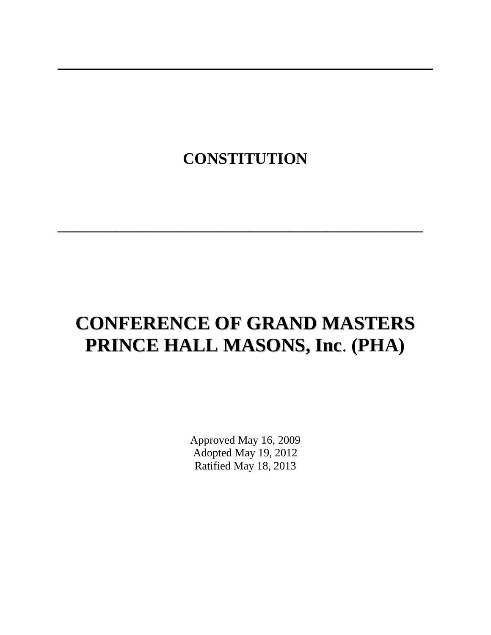# **CONSTITUTION**

 $\frac{1}{2}$  ,  $\frac{1}{2}$  ,  $\frac{1}{2}$  ,  $\frac{1}{2}$  ,  $\frac{1}{2}$  ,  $\frac{1}{2}$  ,  $\frac{1}{2}$  ,  $\frac{1}{2}$  ,  $\frac{1}{2}$  ,  $\frac{1}{2}$  ,  $\frac{1}{2}$  ,  $\frac{1}{2}$  ,  $\frac{1}{2}$  ,  $\frac{1}{2}$  ,  $\frac{1}{2}$  ,  $\frac{1}{2}$  ,  $\frac{1}{2}$  ,  $\frac{1}{2}$  ,  $\frac{1$ 

# **CONFERENCE OF GRAND MASTERS PRINCE HALL MASONS, Inc**. **(PHA)**

Approved May 16, 2009 Adopted May 19, 2012 Ratified May 18, 2013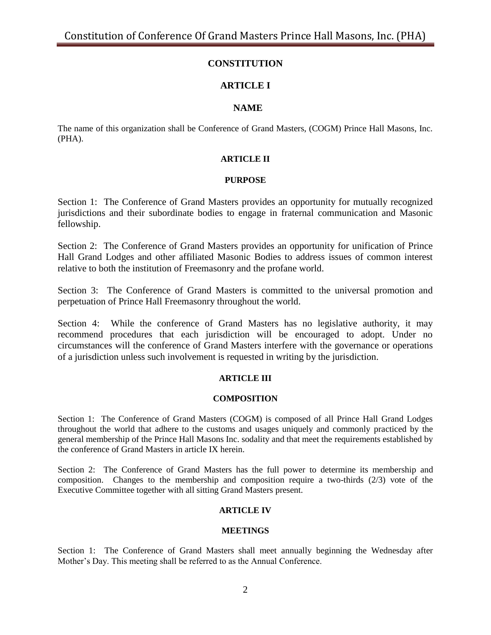# **CONSTITUTION**

# **ARTICLE I**

# **NAME**

The name of this organization shall be Conference of Grand Masters, (COGM) Prince Hall Masons, Inc. (PHA).

# **ARTICLE II**

#### **PURPOSE**

Section 1: The Conference of Grand Masters provides an opportunity for mutually recognized jurisdictions and their subordinate bodies to engage in fraternal communication and Masonic fellowship.

Section 2: The Conference of Grand Masters provides an opportunity for unification of Prince Hall Grand Lodges and other affiliated Masonic Bodies to address issues of common interest relative to both the institution of Freemasonry and the profane world.

Section 3: The Conference of Grand Masters is committed to the universal promotion and perpetuation of Prince Hall Freemasonry throughout the world.

Section 4: While the conference of Grand Masters has no legislative authority, it may recommend procedures that each jurisdiction will be encouraged to adopt. Under no circumstances will the conference of Grand Masters interfere with the governance or operations of a jurisdiction unless such involvement is requested in writing by the jurisdiction.

# **ARTICLE III**

#### **COMPOSITION**

Section 1: The Conference of Grand Masters (COGM) is composed of all Prince Hall Grand Lodges throughout the world that adhere to the customs and usages uniquely and commonly practiced by the general membership of the Prince Hall Masons Inc. sodality and that meet the requirements established by the conference of Grand Masters in article IX herein.

Section 2: The Conference of Grand Masters has the full power to determine its membership and composition. Changes to the membership and composition require a two-thirds (2/3) vote of the Executive Committee together with all sitting Grand Masters present.

# **ARTICLE IV**

#### **MEETINGS**

Section 1: The Conference of Grand Masters shall meet annually beginning the Wednesday after Mother's Day. This meeting shall be referred to as the Annual Conference.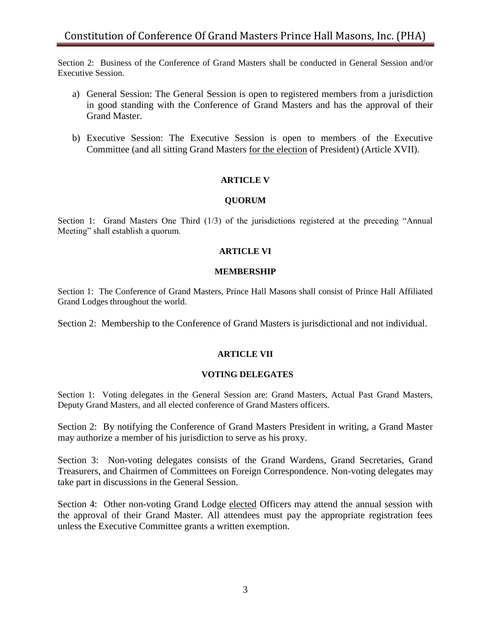Section 2: Business of the Conference of Grand Masters shall be conducted in General Session and/or Executive Session.

- a) General Session: The General Session is open to registered members from a jurisdiction in good standing with the Conference of Grand Masters and has the approval of their Grand Master.
- b) Executive Session: The Executive Session is open to members of the Executive Committee (and all sitting Grand Masters for the election of President) (Article XVII).

#### **ARTICLE V**

#### **QUORUM**

Section 1: Grand Masters One Third (1/3) of the jurisdictions registered at the preceding "Annual Meeting" shall establish a quorum.

#### **ARTICLE VI**

#### **MEMBERSHIP**

Section 1: The Conference of Grand Masters, Prince Hall Masons shall consist of Prince Hall Affiliated Grand Lodges throughout the world.

Section 2: Membership to the Conference of Grand Masters is jurisdictional and not individual.

#### **ARTICLE VII**

# **VOTING DELEGATES**

Section 1: Voting delegates in the General Session are: Grand Masters, Actual Past Grand Masters, Deputy Grand Masters, and all elected conference of Grand Masters officers.

Section 2: By notifying the Conference of Grand Masters President in writing, a Grand Master may authorize a member of his jurisdiction to serve as his proxy.

Section 3: Non-voting delegates consists of the Grand Wardens, Grand Secretaries, Grand Treasurers, and Chairmen of Committees on Foreign Correspondence. Non-voting delegates may take part in discussions in the General Session.

Section 4: Other non-voting Grand Lodge elected Officers may attend the annual session with the approval of their Grand Master. All attendees must pay the appropriate registration fees unless the Executive Committee grants a written exemption.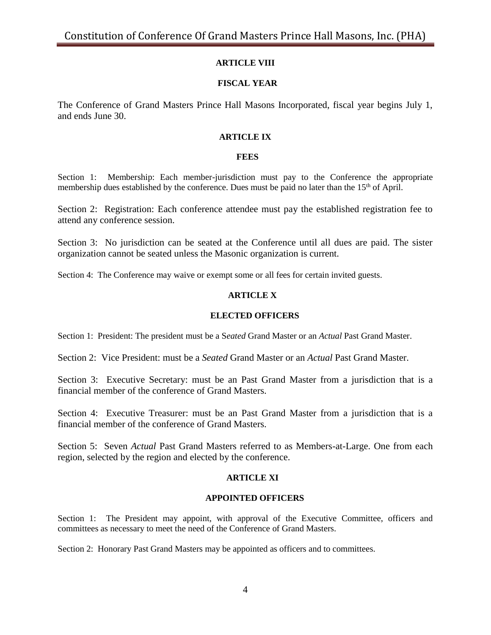# **ARTICLE VIII**

# **FISCAL YEAR**

The Conference of Grand Masters Prince Hall Masons Incorporated, fiscal year begins July 1, and ends June 30.

# **ARTICLE IX**

#### **FEES**

Section 1: Membership: Each member-jurisdiction must pay to the Conference the appropriate membership dues established by the conference. Dues must be paid no later than the 15<sup>th</sup> of April.

Section 2: Registration: Each conference attendee must pay the established registration fee to attend any conference session.

Section 3: No jurisdiction can be seated at the Conference until all dues are paid. The sister organization cannot be seated unless the Masonic organization is current.

Section 4: The Conference may waive or exempt some or all fees for certain invited guests.

# **ARTICLE X**

## **ELECTED OFFICERS**

Section 1: President: The president must be a S*eated* Grand Master or an *Actual* Past Grand Master.

Section 2: Vice President: must be a *Seated* Grand Master or an *Actual* Past Grand Master.

Section 3: Executive Secretary: must be an Past Grand Master from a jurisdiction that is a financial member of the conference of Grand Masters.

Section 4: Executive Treasurer: must be an Past Grand Master from a jurisdiction that is a financial member of the conference of Grand Masters.

Section 5: Seven *Actual* Past Grand Masters referred to as Members-at-Large. One from each region, selected by the region and elected by the conference.

# **ARTICLE XI**

# **APPOINTED OFFICERS**

Section 1: The President may appoint, with approval of the Executive Committee, officers and committees as necessary to meet the need of the Conference of Grand Masters.

Section 2: Honorary Past Grand Masters may be appointed as officers and to committees.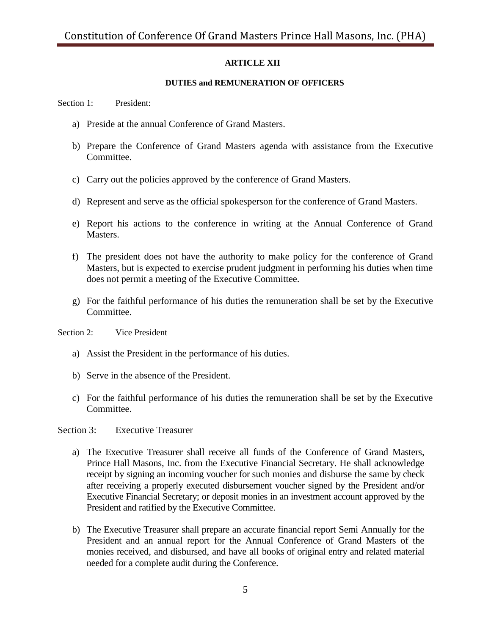# **ARTICLE XII**

# **DUTIES and REMUNERATION OF OFFICERS**

Section 1: President:

- a) Preside at the annual Conference of Grand Masters.
- b) Prepare the Conference of Grand Masters agenda with assistance from the Executive Committee.
- c) Carry out the policies approved by the conference of Grand Masters.
- d) Represent and serve as the official spokesperson for the conference of Grand Masters.
- e) Report his actions to the conference in writing at the Annual Conference of Grand Masters.
- f) The president does not have the authority to make policy for the conference of Grand Masters, but is expected to exercise prudent judgment in performing his duties when time does not permit a meeting of the Executive Committee.
- g) For the faithful performance of his duties the remuneration shall be set by the Executive Committee.

Section 2: Vice President

- a) Assist the President in the performance of his duties.
- b) Serve in the absence of the President.
- c) For the faithful performance of his duties the remuneration shall be set by the Executive Committee.

Section 3: Executive Treasurer

- a) The Executive Treasurer shall receive all funds of the Conference of Grand Masters, Prince Hall Masons, Inc. from the Executive Financial Secretary. He shall acknowledge receipt by signing an incoming voucher for such monies and disburse the same by check after receiving a properly executed disbursement voucher signed by the President and/or Executive Financial Secretary; or deposit monies in an investment account approved by the President and ratified by the Executive Committee.
- b) The Executive Treasurer shall prepare an accurate financial report Semi Annually for the President and an annual report for the Annual Conference of Grand Masters of the monies received, and disbursed, and have all books of original entry and related material needed for a complete audit during the Conference.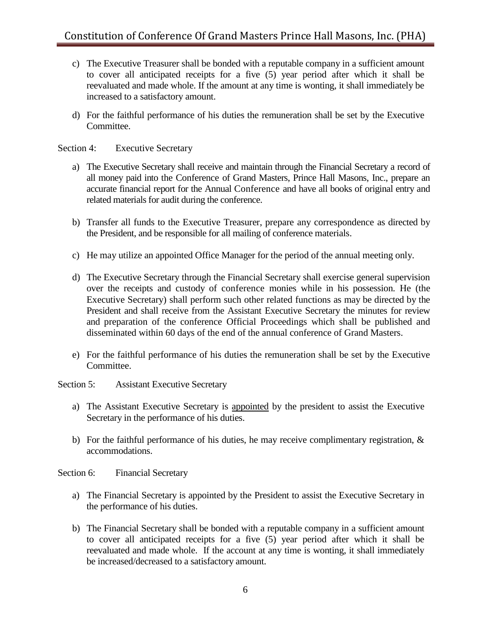- c) The Executive Treasurer shall be bonded with a reputable company in a sufficient amount to cover all anticipated receipts for a five (5) year period after which it shall be reevaluated and made whole. If the amount at any time is wonting, it shall immediately be increased to a satisfactory amount.
- d) For the faithful performance of his duties the remuneration shall be set by the Executive Committee.

Section 4: Executive Secretary

- a) The Executive Secretary shall receive and maintain through the Financial Secretary a record of all money paid into the Conference of Grand Masters, Prince Hall Masons, Inc., prepare an accurate financial report for the Annual Conference and have all books of original entry and related materials for audit during the conference.
- b) Transfer all funds to the Executive Treasurer, prepare any correspondence as directed by the President, and be responsible for all mailing of conference materials.
- c) He may utilize an appointed Office Manager for the period of the annual meeting only.
- d) The Executive Secretary through the Financial Secretary shall exercise general supervision over the receipts and custody of conference monies while in his possession. He (the Executive Secretary) shall perform such other related functions as may be directed by the President and shall receive from the Assistant Executive Secretary the minutes for review and preparation of the conference Official Proceedings which shall be published and disseminated within 60 days of the end of the annual conference of Grand Masters.
- e) For the faithful performance of his duties the remuneration shall be set by the Executive Committee.
- Section 5: Assistant Executive Secretary
	- a) The Assistant Executive Secretary is appointed by the president to assist the Executive Secretary in the performance of his duties.
	- b) For the faithful performance of his duties, he may receive complimentary registration,  $\&$ accommodations.

Section 6: Financial Secretary

- a) The Financial Secretary is appointed by the President to assist the Executive Secretary in the performance of his duties.
- b) The Financial Secretary shall be bonded with a reputable company in a sufficient amount to cover all anticipated receipts for a five (5) year period after which it shall be reevaluated and made whole. If the account at any time is wonting, it shall immediately be increased/decreased to a satisfactory amount.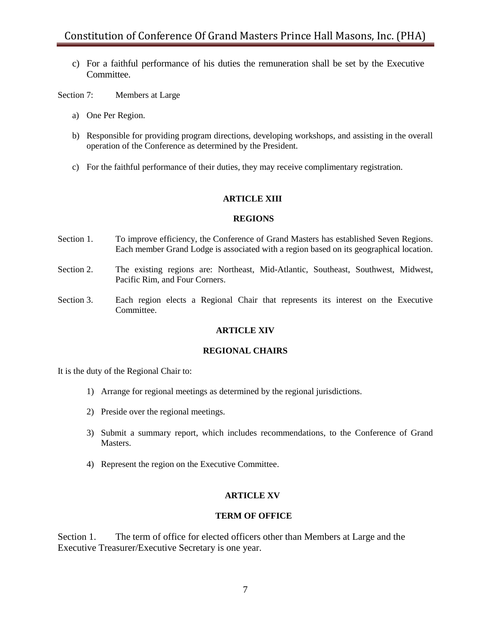c) For a faithful performance of his duties the remuneration shall be set by the Executive Committee.

Section 7: Members at Large

- a) One Per Region.
- b) Responsible for providing program directions, developing workshops, and assisting in the overall operation of the Conference as determined by the President.
- c) For the faithful performance of their duties, they may receive complimentary registration.

# **ARTICLE XIII**

#### **REGIONS**

- Section 1. To improve efficiency, the Conference of Grand Masters has established Seven Regions. Each member Grand Lodge is associated with a region based on its geographical location.
- Section 2. The existing regions are: Northeast, Mid-Atlantic, Southeast, Southwest, Midwest, Pacific Rim, and Four Corners.
- Section 3. Each region elects a Regional Chair that represents its interest on the Executive Committee.

#### **ARTICLE XIV**

# **REGIONAL CHAIRS**

It is the duty of the Regional Chair to:

- 1) Arrange for regional meetings as determined by the regional jurisdictions.
- 2) Preside over the regional meetings.
- 3) Submit a summary report, which includes recommendations, to the Conference of Grand **Masters**
- 4) Represent the region on the Executive Committee.

#### **ARTICLE XV**

## **TERM OF OFFICE**

Section 1. The term of office for elected officers other than Members at Large and the Executive Treasurer/Executive Secretary is one year.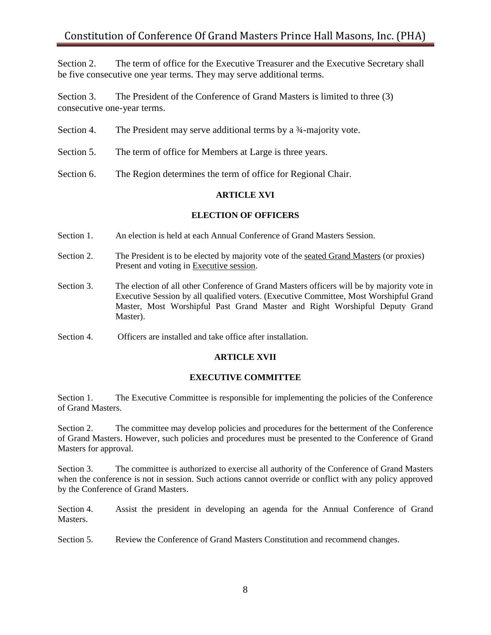Section 2. The term of office for the Executive Treasurer and the Executive Secretary shall be five consecutive one year terms. They may serve additional terms.

Section 3. The President of the Conference of Grand Masters is limited to three (3) consecutive one-year terms.

- Section 4. The President may serve additional terms by a <sup>3</sup>/<sub>4</sub>-majority vote.
- Section 5. The term of office for Members at Large is three years.
- Section 6. The Region determines the term of office for Regional Chair.

# **ARTICLE XVI**

#### **ELECTION OF OFFICERS**

- Section 1. An election is held at each Annual Conference of Grand Masters Session.
- Section 2. The President is to be elected by majority vote of the seated Grand Masters (or proxies) Present and voting in Executive session.
- Section 3. The election of all other Conference of Grand Masters officers will be by majority vote in Executive Session by all qualified voters. (Executive Committee, Most Worshipful Grand Master, Most Worshipful Past Grand Master and Right Worshipful Deputy Grand Master).
- Section 4. Officers are installed and take office after installation.

# **ARTICLE XVII**

#### **EXECUTIVE COMMITTEE**

Section 1. The Executive Committee is responsible for implementing the policies of the Conference of Grand Masters.

Section 2. The committee may develop policies and procedures for the betterment of the Conference of Grand Masters. However, such policies and procedures must be presented to the Conference of Grand Masters for approval.

Section 3. The committee is authorized to exercise all authority of the Conference of Grand Masters when the conference is not in session. Such actions cannot override or conflict with any policy approved by the Conference of Grand Masters.

Section 4. Assist the president in developing an agenda for the Annual Conference of Grand Masters.

Section 5. Review the Conference of Grand Masters Constitution and recommend changes.